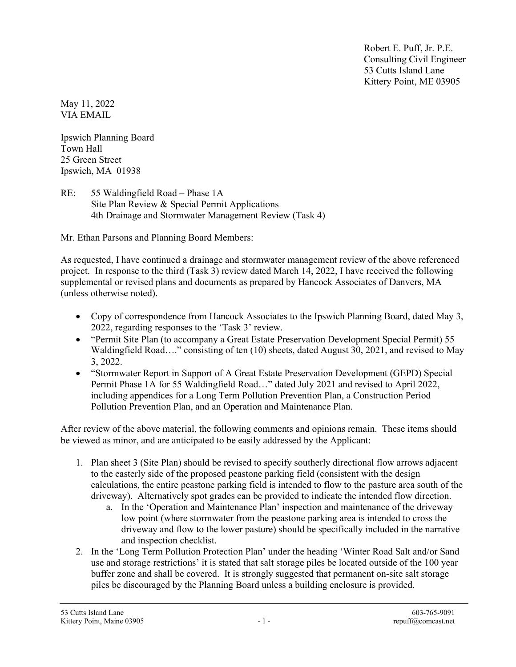Robert E. Puff, Jr. P.E. Consulting Civil Engineer 53 Cutts Island Lane Kittery Point, ME 03905

May 11, 2022 VIA EMAIL

Ipswich Planning Board Town Hall 25 Green Street Ipswich, MA 01938

RE: 55 Waldingfield Road – Phase 1A Site Plan Review & Special Permit Applications 4th Drainage and Stormwater Management Review (Task 4)

Mr. Ethan Parsons and Planning Board Members:

As requested, I have continued a drainage and stormwater management review of the above referenced project. In response to the third (Task 3) review dated March 14, 2022, I have received the following supplemental or revised plans and documents as prepared by Hancock Associates of Danvers, MA (unless otherwise noted).

- Copy of correspondence from Hancock Associates to the Ipswich Planning Board, dated May 3, 2022, regarding responses to the 'Task 3' review.
- "Permit Site Plan (to accompany a Great Estate Preservation Development Special Permit) 55 Waldingfield Road…." consisting of ten (10) sheets, dated August 30, 2021, and revised to May 3, 2022.
- "Stormwater Report in Support of A Great Estate Preservation Development (GEPD) Special Permit Phase 1A for 55 Waldingfield Road…" dated July 2021 and revised to April 2022, including appendices for a Long Term Pollution Prevention Plan, a Construction Period Pollution Prevention Plan, and an Operation and Maintenance Plan.

After review of the above material, the following comments and opinions remain. These items should be viewed as minor, and are anticipated to be easily addressed by the Applicant:

- 1. Plan sheet 3 (Site Plan) should be revised to specify southerly directional flow arrows adjacent to the easterly side of the proposed peastone parking field (consistent with the design calculations, the entire peastone parking field is intended to flow to the pasture area south of the driveway). Alternatively spot grades can be provided to indicate the intended flow direction.
	- a. In the 'Operation and Maintenance Plan' inspection and maintenance of the driveway low point (where stormwater from the peastone parking area is intended to cross the driveway and flow to the lower pasture) should be specifically included in the narrative and inspection checklist.
- 2. In the 'Long Term Pollution Protection Plan' under the heading 'Winter Road Salt and/or Sand use and storage restrictions' it is stated that salt storage piles be located outside of the 100 year buffer zone and shall be covered. It is strongly suggested that permanent on-site salt storage piles be discouraged by the Planning Board unless a building enclosure is provided.